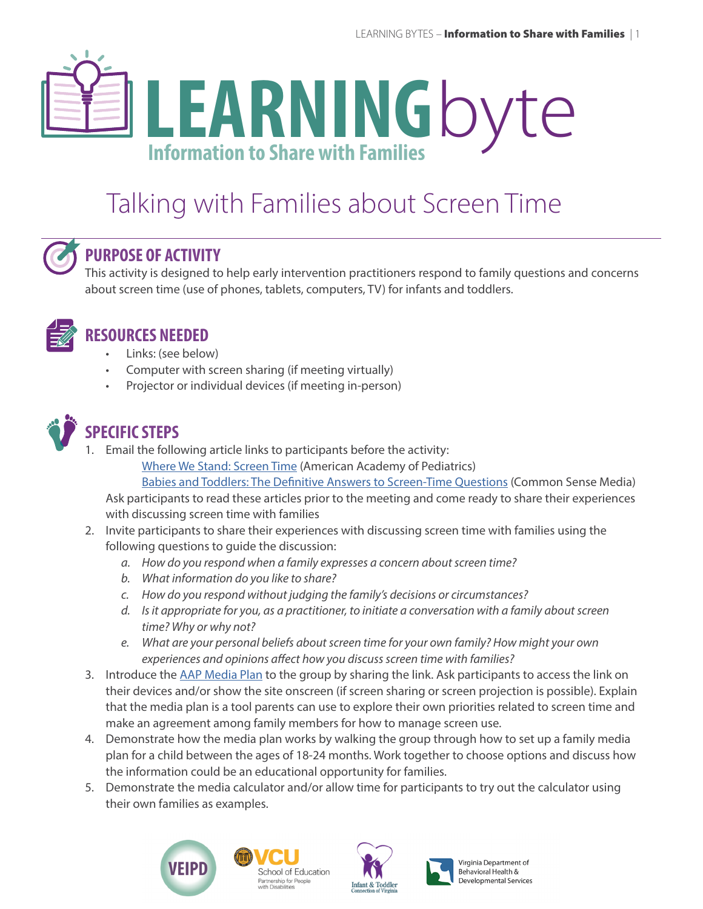# **LEARNING**byte **Information to Share with Families**

# Talking with Families about Screen Time



#### **PURPOSE OF ACTIVITY**

This activity is designed to help early intervention practitioners respond to family questions and concerns about screen time (use of phones, tablets, computers, TV) for infants and toddlers.



## **RESOURCES NEEDED**

- Links: (see below)
- Computer with screen sharing (if meeting virtually)
- Projector or individual devices (if meeting in-person)



## **SPECIFIC STEPS**

1. Email the following article links to participants before the activity:

[Where We Stand: Screen Time](https://www.healthychildren.org/English/family-life/Media/Pages/Where-We-Stand-TV-Viewing-Time.aspx) (American Academy of Pediatrics)

[Babies and Toddlers: The Definitive Answers to Screen-Time Questions](https://www.commonsensemedia.org/blog/babies-and-toddlers-the-definitive-answers-to-screen-time-questions) (Common Sense Media)

Ask participants to read these articles prior to the meeting and come ready to share their experiences with discussing screen time with families

- 2. Invite participants to share their experiences with discussing screen time with families using the following questions to guide the discussion:
	- *a. How do you respond when a family expresses a concern about screen time?*
	- *b. What information do you like to share?*
	- *c. How do you respond without judging the family's decisions or circumstances?*
	- *d. Is it appropriate for you, as a practitioner, to initiate a conversation with a family about screen time? Why or why not?*
	- *e. What are your personal beliefs about screen time for your own family? How might your own experiences and opinions affect how you discuss screen time with families?*
- 3. Introduce the [AAP Media Plan](https://www.healthychildren.org/English/media/Pages/default.aspx#home) to the group by sharing the link. Ask participants to access the link on their devices and/or show the site onscreen (if screen sharing or screen projection is possible). Explain that the media plan is a tool parents can use to explore their own priorities related to screen time and make an agreement among family members for how to manage screen use.
- 4. Demonstrate how the media plan works by walking the group through how to set up a family media plan for a child between the ages of 18-24 months. Work together to choose options and discuss how the information could be an educational opportunity for families.
- 5. Demonstrate the media calculator and/or allow time for participants to try out the calculator using their own families as examples.









Virginia Department of **Behavioral Health & Developmental Services**